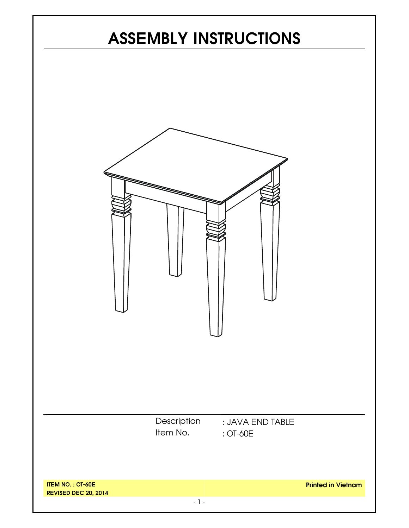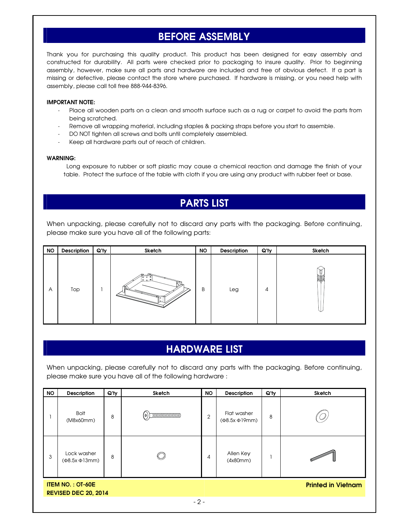## **BEFORE ASSEMBLY**

Thank you for purchasing this quality product. This product has been designed for easy assembly and constructed for durability. All parts were checked prior to packaging to insure quality. Prior to beginning assembly, however, make sure all parts and hardware are included and free of obvious defect. If a part is missing or defective, please contact the store where purchased. If hardware is missing, or you need help with assembly, please call toll free 888-944-8396.

#### **IMPORTANT NOTE:**

- Place all wooden parts on a clean and smooth surface such as a rug or carpet to avoid the parts from being scratched.
- Remove all wrapping material, including staples & packing straps before you start to assemble.
- DO NOT tighten all screws and bolts until completely assembled.
- Keep all hardware parts out of reach of children.

#### **WARNING:**

Long exposure to rubber or soft plastic may cause a chemical reaction and damage the finish of your table. Protect the surface of the table with cloth if you are using any product with rubber feet or base.

### **PARTS LIST**

When unpacking, please carefully not to discard any parts with the packaging. Before continuing, please make sure you have all of the following parts:

| <b>NO</b> | Description | $Q'$ ty | Sketch                | <b>NO</b> | Description | $Q'$ ty | Sketch |
|-----------|-------------|---------|-----------------------|-----------|-------------|---------|--------|
| A         | Top         |         | ≏<br>000<br> 000<br>₩ | B         | Leg         | 4       | iol    |

### **HARDWARE LIST**

When unpacking, please carefully not to discard any parts with the packaging. Before continuing, please make sure you have all of the following hardware :

| <b>NO</b>                                                                           | <b>Description</b>                       | $Q'$ ty | <b>Sketch</b>                                                                                                            | <b>NO</b>      | <b>Description</b>                       | Q'ty | Sketch |  |  |  |
|-------------------------------------------------------------------------------------|------------------------------------------|---------|--------------------------------------------------------------------------------------------------------------------------|----------------|------------------------------------------|------|--------|--|--|--|
|                                                                                     | <b>Bolt</b><br>(M8x60mm)                 | 8       | $\begin{tabular}{ c c c c } \hline \quad \quad & \quad \quad & \quad \quad & \quad \quad \\ \hline \end{tabular}$<br>(o) | $\overline{2}$ | Flat washer<br>$(\Phi$ 8.5x $\Phi$ 19mm) | 8    |        |  |  |  |
| 3                                                                                   | Lock washer<br>$(\Phi$ 8.5x $\Phi$ 13mm) | 8       |                                                                                                                          | 4              | Allen Key<br>(4x80mm)                    |      |        |  |  |  |
| <b>ITEM NO.: OT-60E</b><br><b>Printed in Vietnam</b><br><b>REVISED DEC 20, 2014</b> |                                          |         |                                                                                                                          |                |                                          |      |        |  |  |  |
| $-2-$                                                                               |                                          |         |                                                                                                                          |                |                                          |      |        |  |  |  |